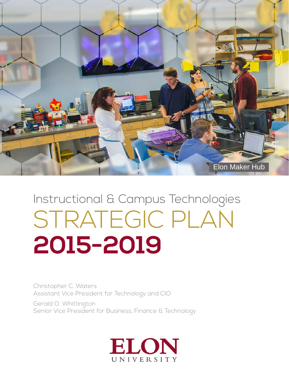

# Instructional & Campus Technologies STRATEGIC PLAN **2015-2019**

Christopher C. Waters Assistant Vice President for Technology and CIO

Gerald O. Whittington Senior Vice President for Business, Finance & Technology

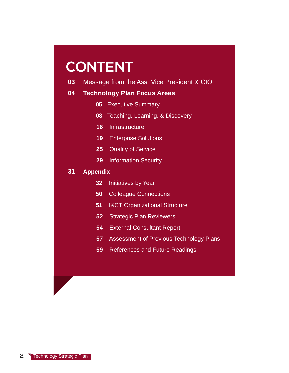## **CONTENT**

Message from the Asst Vice President & CIO **03**

#### **Technology Plan Focus Areas 04**

- **05** Executive Summary
- **08** Teaching, Learning, & Discovery
- **16** Infrastructure
- **19** Enterprise Solutions
- **25 Quality of Service**
- **29** Information Security

#### **Appendix 31**

- **32** Initiatives by Year
- **50** Colleague Connections
- **51 I&CT Organizational Structure**
- **52** Strategic Plan Reviewers
- **54** External Consultant Report
- **57** Assessment of Previous Technology Plans
- **59** References and Future Readings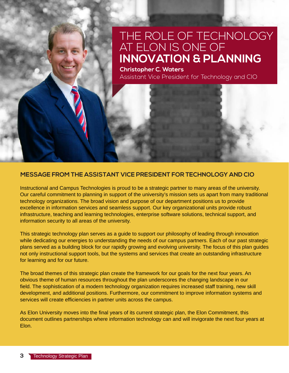### THE ROLE OF TECHNOLOGY AT ELON IS ONE OF **INNOVATION & PLANNING**

**Christopher C. Waters** Assistant Vice President for Technology and CIO

#### **MESSAGE FROM THE ASSISTANT VICE PRESIDENT FOR TECHNOLOGY AND CIO**

Instructional and Campus Technologies is proud to be a strategic partner to many areas of the university. Our careful commitment to planning in support of the university's mission sets us apart from many traditional technology organizations. The broad vision and purpose of our department positions us to provide excellence in information services and seamless support. Our key organizational units provide robust infrastructure, teaching and learning technologies, enterprise software solutions, technical support, and information security to all areas of the university.

This strategic technology plan serves as a guide to support our philosophy of leading through innovation while dedicating our energies to understanding the needs of our campus partners. Each of our past strategic plans served as a building block for our rapidly growing and evolving university. The focus of this plan guides not only instructional support tools, but the systems and services that create an outstanding infrastructure for learning and for our future.

The broad themes of this strategic plan create the framework for our goals for the next four years. An obvious theme of human resources throughout the plan underscores the changing landscape in our field. The sophistication of a modern technology organization requires increased staff training, new skill development, and additional positions. Furthermore, our commitment to improve information systems and services will create efficiencies in partner units across the campus.

As Elon University moves into the final years of its current strategic plan, the Elon Commitment, this document outlines partnerships where information technology can and will invigorate the next four years at Elon.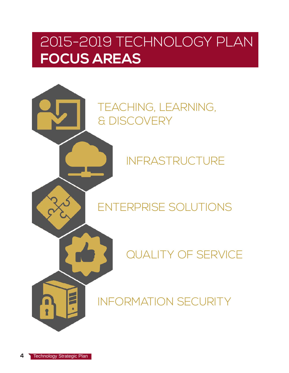## 2015-2019 TECHNOLOGY PLAN **FOCUS AREAS**

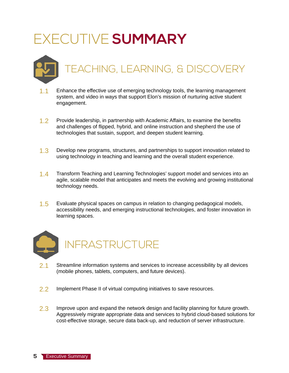## EXECUTIVE **SUMMARY**

## TEACHING, LEARNING, & DISCOVERY

- 1.1 Enhance the effective use of emerging technology tools, the learning management system, and video in ways that support Elon's mission of nurturing active student engagement.
- 1.2 Provide leadership, in partnership with Academic Affairs, to examine the benefits and challenges of flipped, hybrid, and online instruction and shepherd the use of technologies that sustain, support, and deepen student learning.
- 1.3 Develop new programs, structures, and partnerships to support innovation related to using technology in teaching and learning and the overall student experience.
- 1.4 Transform Teaching and Learning Technologies' support model and services into an agile, scalable model that anticipates and meets the evolving and growing institutional technology needs.
- 1.5 Evaluate physical spaces on campus in relation to changing pedagogical models, accessibility needs, and emerging instructional technologies, and foster innovation in learning spaces.



- 2.1 Streamline information systems and services to increase accessibility by all devices (mobile phones, tablets, computers, and future devices).
- 2.2 Implement Phase II of virtual computing initiatives to save resources.
- 2.3 Improve upon and expand the network design and facility planning for future growth. Aggressively migrate appropriate data and services to hybrid cloud-based solutions for cost-effective storage, secure data back-up, and reduction of server infrastructure.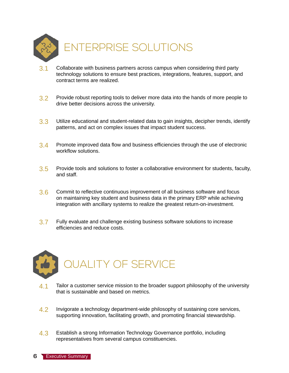

- $3.1$  Collaborate with business partners across campus when considering third party technology solutions to ensure best practices, integrations, features, support, and contract terms are realized.
- 3.2 Provide robust reporting tools to deliver more data into the hands of more people to drive better decisions across the university.
- 3.3 Utilize educational and student-related data to gain insights, decipher trends, identify patterns, and act on complex issues that impact student success.
- 3.4 Promote improved data flow and business efficiencies through the use of electronic workflow solutions.
- 3.5 Provide tools and solutions to foster a collaborative environment for students, faculty, and staff.
- 3.6 Commit to reflective continuous improvement of all business software and focus on maintaining key student and business data in the primary ERP while achieving integration with ancillary systems to realize the greatest return-on-investment.
- 3.7 Fully evaluate and challenge existing business software solutions to increase efficiencies and reduce costs.



- 4.1 Tailor a customer service mission to the broader support philosophy of the university that is sustainable and based on metrics.
- 4.2 Invigorate a technology department-wide philosophy of sustaining core services, supporting innovation, facilitating growth, and promoting financial stewardship.
- 4.3 Establish a strong Information Technology Governance portfolio, including representatives from several campus constituencies.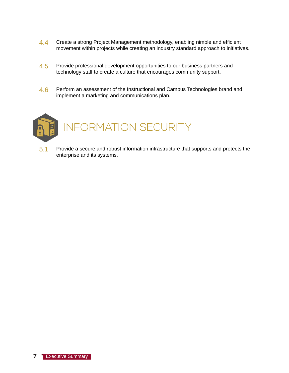- 4.4 Create a strong Project Management methodology, enabling nimble and efficient movement within projects while creating an industry standard approach to initiatives.
- 4.5 Provide professional development opportunities to our business partners and technology staff to create a culture that encourages community support.
- 4.6 Perform an assessment of the Instructional and Campus Technologies brand and implement a marketing and communications plan.



5.1 Provide a secure and robust information infrastructure that supports and protects the enterprise and its systems.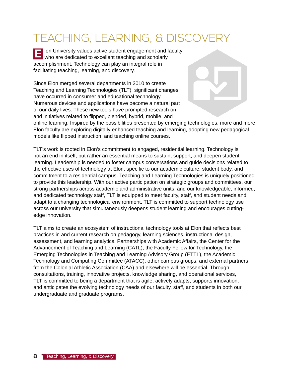## TEACHING, LEARNING, & DISCOVERY

lon University values active student engagement and faculty **EFF** Ion University values active student engagement and f<br>Who are dedicated to excellent teaching and scholarly accomplishment. Technology can play an integral role in facilitating teaching, learning, and discovery.

Since Elon merged several departments in 2010 to create Teaching and Learning Technologies (TLT), significant changes have occurred in consumer and educational technology. Numerous devices and applications have become a natural part of our daily lives. These new tools have prompted research on and initiatives related to flipped, blended, hybrid, mobile, and



online learning. Inspired by the possibilities presented by emerging technologies, more and more Elon faculty are exploring digitally enhanced teaching and learning, adopting new pedagogical models like flipped instruction, and teaching online courses.

TLT's work is rooted in Elon's commitment to engaged, residential learning. Technology is not an end in itself, but rather an essential means to sustain, support, and deepen student learning. Leadership is needed to foster campus conversations and guide decisions related to the effective uses of technology at Elon, specific to our academic culture, student body, and commitment to a residential campus. Teaching and Learning Technologies is uniquely positioned to provide this leadership. With our active participation on strategic groups and committees, our strong partnerships across academic and administrative units, and our knowledgeable, informed, and dedicated technology staff, TLT is equipped to meet faculty, staff, and student needs and adapt to a changing technological environment. TLT is committed to support technology use across our university that simultaneously deepens student learning and encourages cuttingedge innovation.

TLT aims to create an ecosystem of instructional technology tools at Elon that reflects best practices in and current research on pedagogy, learning sciences, instructional design, assessment, and learning analytics. Partnerships with Academic Affairs, the Center for the Advancement of Teaching and Learning (CATL), the Faculty Fellow for Technology, the Emerging Technologies in Teaching and Learning Advisory Group (ETTL), the Academic Technology and Computing Committee (ATACC), other campus groups, and external partners from the Colonial Athletic Association (CAA) and elsewhere will be essential. Through consultations, training, innovative projects, knowledge sharing, and operational services, TLT is committed to being a department that is agile, actively adapts, supports innovation, and anticipates the evolving technology needs of our faculty, staff, and students in both our undergraduate and graduate programs.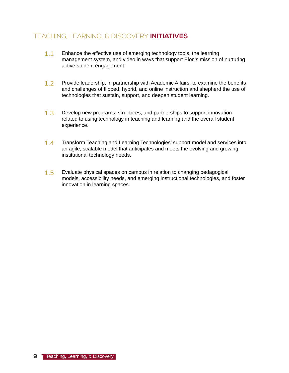### TEACHING, LEARNING, & DISCOVERY **INITIATIVES**

- 1.1 Enhance the effective use of emerging technology tools, the learning management system, and video in ways that support Elon's mission of nurturing active student engagement.
- 1.2 Provide leadership, in partnership with Academic Affairs, to examine the benefits and challenges of flipped, hybrid, and online instruction and shepherd the use of technologies that sustain, support, and deepen student learning.
- 1.3 Develop new programs, structures, and partnerships to support innovation related to using technology in teaching and learning and the overall student experience.
- 1.4 Transform Teaching and Learning Technologies' support model and services into an agile, scalable model that anticipates and meets the evolving and growing institutional technology needs.
- 1.5 Evaluate physical spaces on campus in relation to changing pedagogical models, accessibility needs, and emerging instructional technologies, and foster innovation in learning spaces.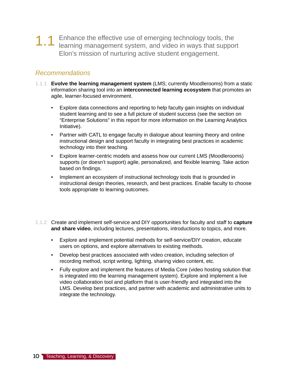1.1 Enhance the effective use of emerging technology tools, the learning management system, and video in ways that support Elon's mission of nurturing active student engagement.

- 1.1.1 **Evolve the learning management system** (LMS; currently Moodlerooms) from a static information sharing tool into an **interconnected learning ecosystem** that promotes an agile, learner-focused environment.
	- Explore data connections and reporting to help faculty gain insights on individual student learning and to see a full picture of student success (see the section on "Enterprise Solutions" in this report for more information on the Learning Analytics Initiative).
	- Partner with CATL to engage faculty in dialogue about learning theory and online instructional design and support faculty in integrating best practices in academic technology into their teaching.
	- Explore learner-centric models and assess how our current LMS (Moodlerooms) supports (or doesn't support) agile, personalized, and flexible learning. Take action based on findings.
	- Implement an ecosystem of instructional technology tools that is grounded in instructional design theories, research, and best practices. Enable faculty to choose tools appropriate to learning outcomes.
- 1.1.2 Create and implement self-service and DIY opportunities for faculty and staff to **capture and share video**, including lectures, presentations, introductions to topics, and more.
	- Explore and implement potential methods for self-service/DIY creation, educate users on options, and explore alternatives to existing methods.
	- Develop best practices associated with video creation, including selection of recording method, script writing, lighting, sharing video content, etc.
	- Fully explore and implement the features of Media Core (video hosting solution that is integrated into the learning management system). Explore and implement a live video collaboration tool and platform that is user-friendly and integrated into the LMS. Develop best practices, and partner with academic and administrative units to integrate the technology.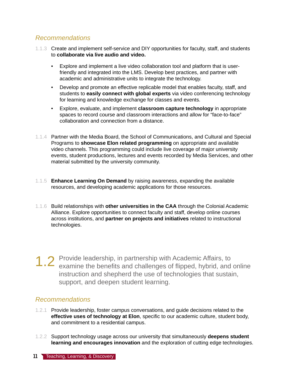- 1.1.3 Create and implement self-service and DIY opportunities for faculty, staff, and students to **collaborate via live audio and video.**
	- Explore and implement a live video collaboration tool and platform that is userfriendly and integrated into the LMS. Develop best practices, and partner with academic and administrative units to integrate the technology.
	- Develop and promote an effective replicable model that enables faculty, staff, and students to **easily connect with global experts** via video conferencing technology for learning and knowledge exchange for classes and events.
	- Explore, evaluate, and implement **classroom capture technology** in appropriate spaces to record course and classroom interactions and allow for "face-to-face" collaboration and connection from a distance.
- 1.1.4 Partner with the Media Board, the School of Communications, and Cultural and Special Programs to **showcase Elon related programming** on appropriate and available video channels. This programming could include live coverage of major university events, student productions, lectures and events recorded by Media Services, and other material submitted by the university community.
- 1.1.5 **Enhance Learning On Demand** by raising awareness, expanding the available resources, and developing academic applications for those resources.
- 1.1.6 Build relationships with **other universities in the CAA** through the Colonial Academic Alliance. Explore opportunities to connect faculty and staff, develop online courses across institutions, and **partner on projects and initiatives** related to instructional technologies.
- 1.2 Provide leadership, in partnership with Academic Affairs, to examine the benefits and challenges of flipped, hybrid, and online instruction and shepherd the use of technologies that sustain, support, and deepen student learning.

- 1.2.1 Provide leadership, foster campus conversations, and guide decisions related to the **effective uses of technology at Elon**, specific to our academic culture, student body, and commitment to a residential campus.
- 1.2.2 Support technology usage across our university that simultaneously **deepens student learning and encourages innovation** and the exploration of cutting edge technologies.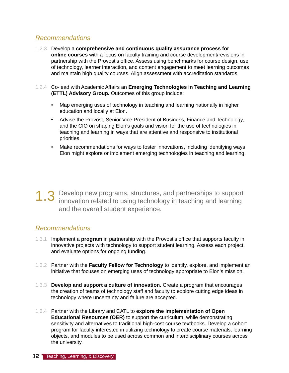- 1.2.3 Develop a **comprehensive and continuous quality assurance process for online courses** with a focus on faculty training and course development/revisions in partnership with the Provost's office. Assess using benchmarks for course design, use of technology, learner interaction, and content engagement to meet learning outcomes and maintain high quality courses. Align assessment with accreditation standards.
- 1.2.4 Co-lead with Academic Affairs an **Emerging Technologies in Teaching and Learning (ETTL) Advisory Group.** Outcomes of this group include:
	- Map emerging uses of technology in teaching and learning nationally in higher education and locally at Elon.
	- Advise the Provost, Senior Vice President of Business, Finance and Technology, and the CIO on shaping Elon's goals and vision for the use of technologies in teaching and learning in ways that are attentive and responsive to institutional priorities.
	- Make recommendations for ways to foster innovations, including identifying ways Elon might explore or implement emerging technologies in teaching and learning.

1.3 Develop new programs, structures, and partnerships to support innovation related to using technology in teaching and learning and the overall student experience.

- 1.3.1 Implement a **program** in partnership with the Provost's office that supports faculty in innovative projects with technology to support student learning. Assess each project, and evaluate options for ongoing funding.
- 1.3.2 Partner with the **Faculty Fellow for Technology** to identify, explore, and implement an initiative that focuses on emerging uses of technology appropriate to Elon's mission.
- 1.3.3 **Develop and support a culture of innovation.** Create a program that encourages the creation of teams of technology staff and faculty to explore cutting edge ideas in technology where uncertainty and failure are accepted.
- 1.3.4 Partner with the Library and CATL to **explore the implementation of Open Educational Resources (OER)** to support the curriculum, while demonstrating sensitivity and alternatives to traditional high-cost course textbooks. Develop a cohort program for faculty interested in utilizing technology to create course materials, learning objects, and modules to be used across common and interdisciplinary courses across the university.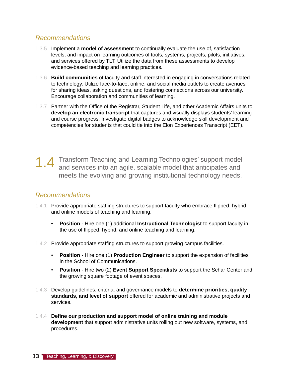- 1.3.5 Implement a **model of assessment** to continually evaluate the use of, satisfaction levels, and impact on learning outcomes of tools, systems, projects, pilots, initiatives, and services offered by TLT. Utilize the data from these assessments to develop evidence-based teaching and learning practices.
- 1.3.6 **Build communities** of faculty and staff interested in engaging in conversations related to technology. Utilize face-to-face, online, and social media outlets to create avenues for sharing ideas, asking questions, and fostering connections across our university. Encourage collaboration and communities of learning.
- 1.3.7 Partner with the Office of the Registrar, Student Life, and other Academic Affairs units to **develop an electronic transcript** that captures and visually displays students' learning and course progress. Investigate digital badges to acknowledge skill development and competencies for students that could tie into the Elon Experiences Transcript (EET).

1.4 Transform Teaching and Learning Technologies' support model and services into an agile, scalable model that anticipates and meets the evolving and growing institutional technology needs.

- 1.4.1 Provide appropriate staffing structures to support faculty who embrace flipped, hybrid, and online models of teaching and learning.
	- **Position** Hire one (1) additional **Instructional Technologist** to support faculty in the use of flipped, hybrid, and online teaching and learning.
- 1.4.2 Provide appropriate staffing structures to support growing campus facilities.
	- **Position** Hire one (1) **Production Engineer** to support the expansion of facilities in the School of Communications.
	- **Position** Hire two (2) **Event Support Specialists** to support the Schar Center and the growing square footage of event spaces.
- 1.4.3 Develop guidelines, criteria, and governance models to **determine priorities, quality standards, and level of support** offered for academic and administrative projects and services.
- 1.4.4 **Define our production and support model of online training and module development** that support administrative units rolling out new software, systems, and procedures.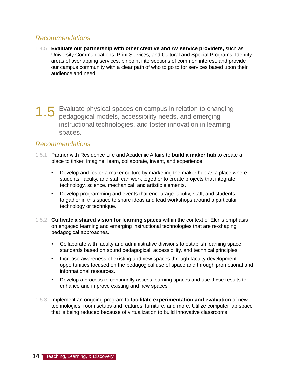- 1.4.5 **Evaluate our partnership with other creative and AV service providers,** such as University Communications, Print Services, and Cultural and Special Programs. Identify areas of overlapping services, pinpoint intersections of common interest, and provide our campus community with a clear path of who to go to for services based upon their audience and need.
- 1.5 Evaluate physical spaces on campus in relation to changing pedagogical models, accessibility needs, and emerging instructional technologies, and foster innovation in learning spaces.

- 1.5.1 Partner with Residence Life and Academic Affairs to **build a maker hub** to create a place to tinker, imagine, learn, collaborate, invent, and experience.
	- Develop and foster a maker culture by marketing the maker hub as a place where students, faculty, and staff can work together to create projects that integrate technology, science, mechanical, and artistic elements.
	- Develop programming and events that encourage faculty, staff, and students to gather in this space to share ideas and lead workshops around a particular technology or technique.
- 1.5.2 **Cultivate a shared vision for learning spaces** within the context of Elon's emphasis on engaged learning and emerging instructional technologies that are re-shaping pedagogical approaches.
	- Collaborate with faculty and administrative divisions to establish learning space standards based on sound pedagogical, accessibility, and technical principles.
	- Increase awareness of existing and new spaces through faculty development opportunities focused on the pedagogical use of space and through promotional and informational resources.
	- Develop a process to continually assess learning spaces and use these results to enhance and improve existing and new spaces
- 1.5.3 Implement an ongoing program to **facilitate experimentation and evaluation** of new technologies, room setups and features, furniture, and more. Utilize computer lab space that is being reduced because of virtualization to build innovative classrooms.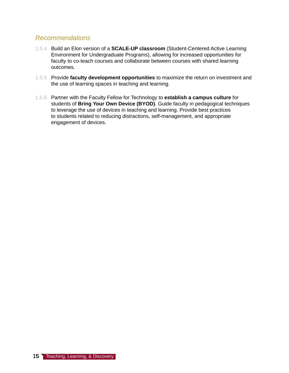- 1.5.4 Build an Elon version of a **SCALE-UP classroom** (Student-Centered Active Learning Environment for Undergraduate Programs), allowing for increased opportunities for faculty to co-teach courses and collaborate between courses with shared learning outcomes.
- 1.5.5 Provide **faculty development opportunities** to maximize the return on investment and the use of learning spaces in teaching and learning.
- 1.5.6 Partner with the Faculty Fellow for Technology to **establish a campus culture** for students of **Bring Your Own Device (BYOD)**. Guide faculty in pedagogical techniques to leverage the use of devices in teaching and learning. Provide best practices to students related to reducing distractions, self-management, and appropriate engagement of devices.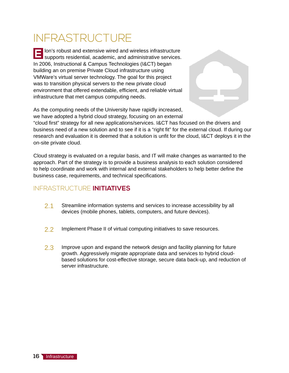## INFRASTRUCTURE

lon's robust and extensive wired and wireless infrastructure **EXECUTE: CONSTANDIST AND EXECUTED SUPPORTS INTERFERITATIONS SUPPORTS TO SUPPORTS SUPPORTS.**<br>**EXECUTED SUPPORTS RESIDENTIAL** academic, and administrative services. In 2006, Instructional & Campus Technologies (I&CT) began building an on premise Private Cloud infrastructure using VMWare's virtual server technology. The goal for this project was to transition physical servers to the new private cloud environment that offered extendable, efficient, and reliable virtual infrastructure that met campus computing needs.

As the computing needs of the University have rapidly increased, we have adopted a hybrid cloud strategy, focusing on an external "cloud first" strategy for all new applications/services. I&CT has focused on the drivers and business need of a new solution and to see if it is a "right fit" for the external cloud. If during our research and evaluation it is deemed that a solution is unfit for the cloud, I&CT deploys it in the on-site private cloud.

Cloud strategy is evaluated on a regular basis, and IT will make changes as warranted to the approach. Part of the strategy is to provide a business analysis to each solution considered to help coordinate and work with internal and external stakeholders to help better define the business case, requirements, and technical specifications.

### INFRASTRUCTURE **INITIATIVES**

- 2.1 Streamline information systems and services to increase accessibility by all devices (mobile phones, tablets, computers, and future devices).
- 2.2 Implement Phase II of virtual computing initiatives to save resources.
- 2.3 Improve upon and expand the network design and facility planning for future growth. Aggressively migrate appropriate data and services to hybrid cloudbased solutions for cost-effective storage, secure data back-up, and reduction of server infrastructure.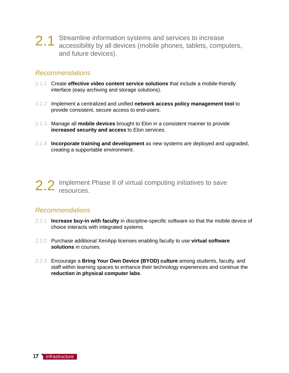2.1 Streamline information systems and services to increase accessibility by all devices (mobile phones, tablets, computers, and future devices).

#### *Recommendations*

- 2.1.1 Create **effective video content service solutions** that include a mobile-friendly interface (easy archiving and storage solutions).
- 2.1.2 Implement a centralized and unified **network access policy management tool** to provide consistent, secure access to end-users.
- 2.1.3 Manage all **mobile devices** brought to Elon in a consistent manner to provide **increased security and access** to Elon services.
- 2.1.4 **Incorporate training and development** as new systems are deployed and upgraded, creating a supportable environment.

2.2 Implement Phase II of virtual computing initiatives to save resources.

- 2.2.1 **Increase buy-in with faculty** in discipline-specific software so that the mobile device of choice interacts with integrated systems.
- 2.2.2 Purchase additional XenApp licenses enabling faculty to use **virtual software solutions** in courses.
- 2.2.3 Encourage a **Bring Your Own Device (BYOD) culture** among students, faculty, and staff within learning spaces to enhance their technology experiences and continue the **reduction in physical computer labs**.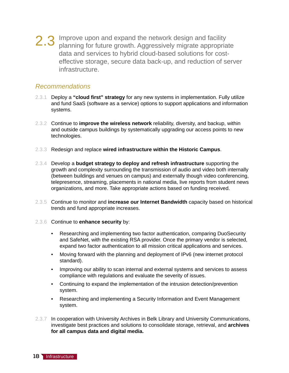2.3 Improve upon and expand the network design and facility planning for future growth. Aggressively migrate appropriate data and services to hybrid cloud-based solutions for costeffective storage, secure data back-up, and reduction of server infrastructure.

- 2.3.1 Deploy a **"cloud first" strategy** for any new systems in implementation. Fully utilize and fund SaaS (software as a service) options to support applications and information systems.
- 2.3.2 Continue to **improve the wireless network** reliability, diversity, and backup, within and outside campus buildings by systematically upgrading our access points to new technologies.
- 2.3.3 Redesign and replace **wired infrastructure within the Historic Campus**.
- 2.3.4 Develop a **budget strategy to deploy and refresh infrastructure** supporting the growth and complexity surrounding the transmission of audio and video both internally (between buildings and venues on campus) and externally though video conferencing, telepresence, streaming, placements in national media, live reports from student news organizations, and more. Take appropriate actions based on funding received.
- 2.3.5 Continue to monitor and **increase our Internet Bandwidth** capacity based on historical trends and fund appropriate increases.
- 2.3.6 Continue to **enhance security** by:
	- Researching and implementing two factor authentication, comparing DuoSecurity and SafeNet, with the existing RSA provider. Once the primary vendor is selected, expand two factor authentication to all mission critical applications and services.
	- Moving forward with the planning and deployment of IPv6 (new internet protocol standard).
	- Improving our ability to scan internal and external systems and services to assess compliance with regulations and evaluate the severity of issues.
	- Continuing to expand the implementation of the intrusion detection/prevention system.
	- Researching and implementing a Security Information and Event Management system.
- 2.3.7 In cooperation with University Archives in Belk Library and University Communications, investigate best practices and solutions to consolidate storage, retrieval, and **archives for all campus data and digital media.**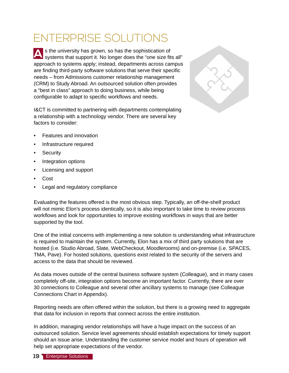## ENTERPRISE SOLUTIONS

s the university has grown, so has the sophistication of **A** Is the university has grown, so has the sophistication of systems that support it. No longer does the "one size fits all" approach to systems apply; instead, departments across campus are finding third-party software solutions that serve their specific needs – from Admissions customer relationship management (CRM) to Study Abroad. An outsourced solution often provides a "best in class" approach to doing business, while being configurable to adapt to specific workflows and needs.

I&CT is committed to partnering with departments contemplating a relationship with a technology vendor. There are several key factors to consider:



- Features and innovation
- Infrastructure required
- **Security**
- Integration options
- Licensing and support
- Cost
- Legal and regulatory compliance

Evaluating the features offered is the most obvious step. Typically, an off-the-shelf product will not mimic Elon's process identically, so it is also important to take time to review process workflows and look for opportunities to improve existing workflows in ways that are better supported by the tool.

One of the initial concerns with implementing a new solution is understanding what infrastructure is required to maintain the system. Currently, Elon has a mix of third party solutions that are hosted (i.e. Studio Abroad, Slate, WebCheckout, Moodlerooms) and on-premise (i.e. SPACES, TMA, Pave). For hosted solutions, questions exist related to the security of the servers and access to the data that should be reviewed.

As data moves outside of the central business software system (Colleague), and in many cases completely off-site, integration options become an important factor. Currently, there are over 30 connections to Colleague and several other ancillary systems to manage (see Colleague Connections Chart in Appendix).

Reporting needs are often offered within the solution, but there is a growing need to aggregate that data for inclusion in reports that connect across the entire institution.

In addition, managing vendor relationships will have a huge impact on the success of an outsourced solution. Service level agreements should establish expectations for timely support should an issue arise. Understanding the customer service model and hours of operation will help set appropriate expectations of the vendor.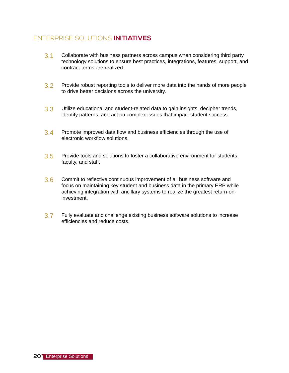### ENTERPRISE SOLUTIONS **INITIATIVES**

- 3.1 Collaborate with business partners across campus when considering third party technology solutions to ensure best practices, integrations, features, support, and contract terms are realized.
- 3.2 Provide robust reporting tools to deliver more data into the hands of more people to drive better decisions across the university.
- 3.3 Utilize educational and student-related data to gain insights, decipher trends, identify patterns, and act on complex issues that impact student success.
- 3.4 Promote improved data flow and business efficiencies through the use of electronic workflow solutions.
- 3.5 Provide tools and solutions to foster a collaborative environment for students, faculty, and staff.
- 3.6 Commit to reflective continuous improvement of all business software and focus on maintaining key student and business data in the primary ERP while achieving integration with ancillary systems to realize the greatest return-oninvestment.
- 3.7 Fully evaluate and challenge existing business software solutions to increase efficiencies and reduce costs.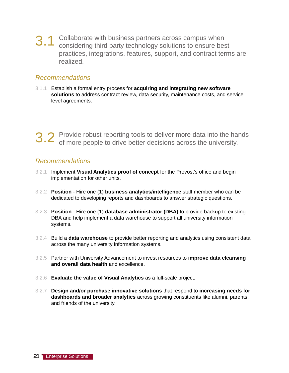3.1 Collaborate with business partners across campus when considering third party technology solutions to ensure best practices, integrations, features, support, and contract terms are realized.

### *Recommendations*

3.1.1 Establish a formal entry process for **acquiring and integrating new software solutions** to address contract review, data security, maintenance costs, and service level agreements.

3.2 Provide robust reporting tools to deliver more data into the hands of more people to drive better decisions across the university.

- 3.2.1 Implement **Visual Analytics proof of concept** for the Provost's office and begin implementation for other units.
- 3.2.2 **Position**  Hire one (1) **business analytics/intelligence** staff member who can be dedicated to developing reports and dashboards to answer strategic questions.
- 3.2.3 **Position** Hire one (1) **database administrator (DBA)** to provide backup to existing DBA and help implement a data warehouse to support all university information systems.
- 3.2.4 Build a **data warehouse** to provide better reporting and analytics using consistent data across the many university information systems.
- 3.2.5 Partner with University Advancement to invest resources to **improve data cleansing and overall data health** and excellence.
- 3.2.6 **Evaluate the value of Visual Analytics** as a full-scale project.
- 3.2.7 **Design and/or purchase innovative solutions** that respond to **increasing needs for dashboards and broader analytics** across growing constituents like alumni, parents, and friends of the university.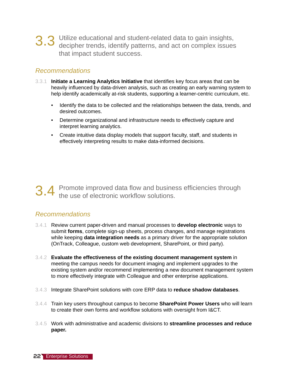3.3 Utilize educational and student-related data to gain insights, decipher trends, identify patterns, and act on complex issues that impact student success.

### *Recommendations*

- 3.3.1 **Initiate a Learning Analytics Initiative** that identifies key focus areas that can be heavily influenced by data-driven analysis, such as creating an early warning system to help identify academically at-risk students, supporting a learner-centric curriculum, etc.
	- Identify the data to be collected and the relationships between the data, trends, and desired outcomes.
	- Determine organizational and infrastructure needs to effectively capture and interpret learning analytics.
	- Create intuitive data display models that support faculty, staff, and students in effectively interpreting results to make data-informed decisions.

3.4 Promote improved data flow and business efficiencies through the use of electronic workflow solutions.

- 3.4.1 Review current paper-driven and manual processes to **develop electronic** ways to submit **forms**, complete sign-up sheets, process changes, and manage registrations while keeping **data integration needs** as a primary driver for the appropriate solution (OnTrack, Colleague, custom web development, SharePoint, or third party).
- 3.4.2 **Evaluate the effectiveness of the existing document management system** in meeting the campus needs for document imaging and implement upgrades to the existing system and/or recommend implementing a new document management system to more effectively integrate with Colleague and other enterprise applications.
- 3.4.3 Integrate SharePoint solutions with core ERP data to **reduce shadow databases**.
- 3.4.4 Train key users throughout campus to become **SharePoint Power Users** who will learn to create their own forms and workflow solutions with oversight from I&CT.
- 3.4.5 Work with administrative and academic divisions to **streamline processes and reduce paper.**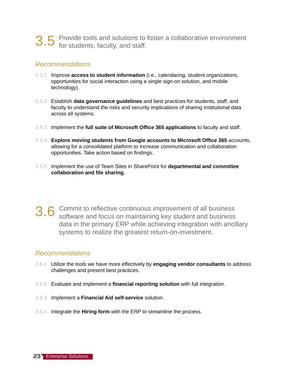3.5 Provide tools and solutions to foster a collaborative environment for students, faculty, and staff.

### *Recommendations*

- 3.5.1 Improve **access to student information** (i.e., calendaring, student organizations, opportunities for social interaction using a single sign-on solution, and mobile technology).
- 3.5.2 Establish **data governance guidelines** and best practices for students, staff, and faculty to understand the risks and security implications of sharing institutional data across all systems.
- 3.5.3 Implement the **full suite of Microsoft Office 365 applications** to faculty and staff.
- 3.5.4 **Explore moving students from Google accounts to Microsoft Office 365** accounts, allowing for a consolidated platform to increase communication and collaboration opportunities. Take action based on findings.
- 3.5.5 Implement the use of Team Sites in SharePoint for **departmental and committee collaboration and file sharing.**
- 3.6 Commit to reflective continuous improvement of all business software and focus on maintaining key student and business data in the primary ERP while achieving integration with ancillary systems to realize the greatest return-on-investment.

- 3.6.1 Utilize the tools we have more effectively by **engaging vendor consultants** to address challenges and present best practices.
- 3.6.2 Evaluate and implement a **financial reporting solution** with full integration.
- 3.6.3 Implement a **Financial Aid self-service** solution.
- 3.6.4 Integrate the **Hiring form** with the ERP to streamline the process.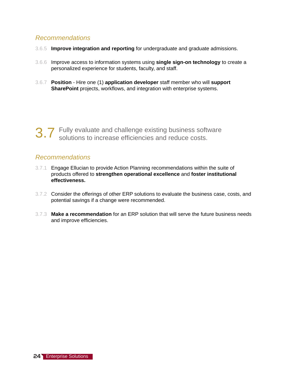- 3.6.5 **Improve integration and reporting** for undergraduate and graduate admissions.
- 3.6.6 Improve access to information systems using **single sign-on technology** to create a personalized experience for students, faculty, and staff.
- 3.6.7 **Position** Hire one (1) **application developer** staff member who will **support SharePoint** projects, workflows, and integration with enterprise systems.

3.7 Fully evaluate and challenge existing business software solutions to increase efficiencies and reduce costs.

- 3.7.1 Engage Ellucian to provide Action Planning recommendations within the suite of products offered to **strengthen operational excellence** and **foster institutional effectiveness.**
- 3.7.2 Consider the offerings of other ERP solutions to evaluate the business case, costs, and potential savings if a change were recommended.
- 3.7.3 **Make a recommendation** for an ERP solution that will serve the future business needs and improve efficiencies.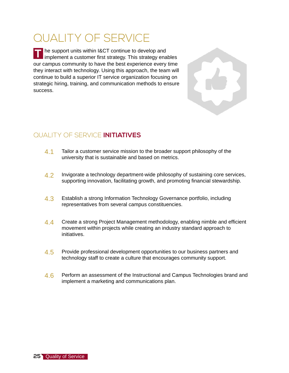### QUALITY OF SERVICE

he support units within I&CT continue to develop and **T** The support units within I&CT continue to develop and<br>IT implement a customer first strategy. This strategy enables our campus community to have the best experience every time they interact with technology. Using this approach, the team will continue to build a superior IT service organization focusing on strategic hiring, training, and communication methods to ensure success.

### QUALITY OF SERVICE **INITIATIVES**

- 4.1 Tailor a customer service mission to the broader support philosophy of the university that is sustainable and based on metrics.
- 4.2 Invigorate a technology department-wide philosophy of sustaining core services, supporting innovation, facilitating growth, and promoting financial stewardship.
- 4.3 Establish a strong Information Technology Governance portfolio, including representatives from several campus constituencies.
- 4.4 Create a strong Project Management methodology, enabling nimble and efficient movement within projects while creating an industry standard approach to initiatives.
- 4.5 Provide professional development opportunities to our business partners and technology staff to create a culture that encourages community support.
- 4.6 Perform an assessment of the Instructional and Campus Technologies brand and implement a marketing and communications plan.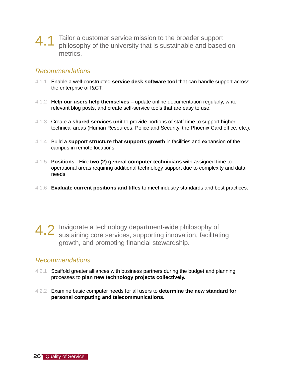### $4.1$  Tailor a customer service mission to the broader support philosophy of the university that is sustainable and based on metrics.

### *Recommendations*

- 4.1.1 Enable a well-constructed **service desk software tool** that can handle support across the enterprise of I&CT.
- 4.1.2 **Help our users help themselves** update online documentation regularly, write relevant blog posts, and create self-service tools that are easy to use.
- 4.1.3 Create a **shared services unit** to provide portions of staff time to support higher technical areas (Human Resources, Police and Security, the Phoenix Card office, etc.).
- 4.1.4 Build a **support structure that supports growth** in facilities and expansion of the campus in remote locations.
- 4.1.5 **Positions**  Hire **two (2) general computer technicians** with assigned time to operational areas requiring additional technology support due to complexity and data needs.
- 4.1.6 **Evaluate current positions and titles** to meet industry standards and best practices.
- 4.2 Invigorate a technology department-wide philosophy of sustaining core services, supporting innovation, facilitating growth, and promoting financial stewardship.

- 4.2.1 Scaffold greater alliances with business partners during the budget and planning processes to **plan new technology projects collectively.**
- 4.2.2 Examine basic computer needs for all users to **determine the new standard for personal computing and telecommunications.**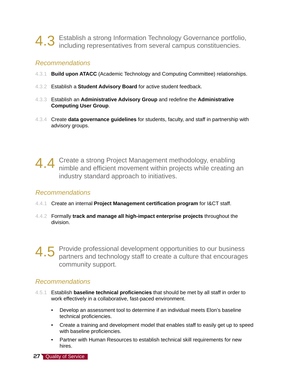## 4.3 Establish a strong Information Technology Governance portfolio, including representatives from several campus constituencies.

### *Recommendations*

- 4.3.1 **Build upon ATACC** (Academic Technology and Computing Committee) relationships.
- 4.3.2 Establish a **Student Advisory Board** for active student feedback.
- 4.3.3 Establish an **Administrative Advisory Group** and redefine the **Administrative Computing User Group**.
- 4.3.4 Create **data governance guidelines** for students, faculty, and staff in partnership with advisory groups.

4.4 Create a strong Project Management methodology, enabling an imble and efficient movement within projects while creating an industry standard approach to initiatives.

### *Recommendations*

- 4.4.1 Create an internal **Project Management certification program** for I&CT staff.
- 4.4.2 Formally **track and manage all high-impact enterprise projects** throughout the division.
- 4.5 Provide professional development opportunities to our business partners and technology staff to create a culture that encourages community support.

- 4.5.1 Establish **baseline technical proficiencies** that should be met by all staff in order to work effectively in a collaborative, fast-paced environment.
	- Develop an assessment tool to determine if an individual meets Elon's baseline technical proficiencies.
	- Create a training and development model that enables staff to easily get up to speed with baseline proficiencies.
	- Partner with Human Resources to establish technical skill requirements for new hires.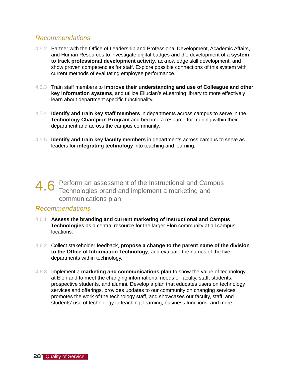- 4.5.2 Partner with the Office of Leadership and Professional Development, Academic Affairs, and Human Resources to investigate digital badges and the development of a **system to track professional development activity**, acknowledge skill development, and show proven competencies for staff. Explore possible connections of this system with current methods of evaluating employee performance.
- 4.5.3 Train staff members to **improve their understanding and use of Colleague and other key information systems**, and utilize Ellucian's eLearning library to more effectively learn about department specific functionality.
- 4.5.4 **Identify and train key staff members** in departments across campus to serve in the **Technology Champion Program** and become a resource for training within their department and across the campus community.
- 4.5.5 **Identify and train key faculty members** in departments across campus to serve as leaders for **integrating technology** into teaching and learning.

4.6 Perform an assessment of the Instructional and Campus<br>Technologies brand and implement a marketing and communications plan.

- 4.6.1 **Assess the branding and current marketing of Instructional and Campus Technologies** as a central resource for the larger Elon community at all campus locations.
- 4.6.2 Collect stakeholder feedback, **propose a change to the parent name of the division to the Office of Information Technology**, and evaluate the names of the five departments within technology.
- 4.6.3 Implement a **marketing and communications plan** to show the value of technology at Elon and to meet the changing informational needs of faculty, staff, students, prospective students, and alumni. Develop a plan that educates users on technology services and offerings, provides updates to our community on changing services, promotes the work of the technology staff, and showcases our faculty, staff, and students' use of technology in teaching, learning, business functions, and more.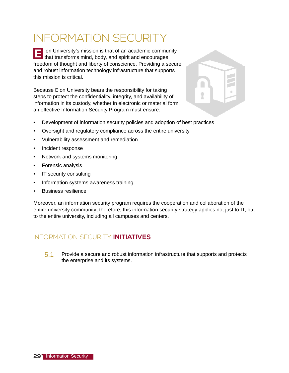## INFORMATION SECURITY

lon University's mission is that of an academic community **E** lon University's mission is that of an academic community that transforms mind, body, and spirit and encourages freedom of thought and liberty of conscience. Providing a secure and robust information technology infrastructure that supports this mission is critical.

Because Elon University bears the responsibility for taking steps to protect the confidentiality, integrity, and availability of information in its custody, whether in electronic or material form, an effective Information Security Program must ensure:



- Development of information security policies and adoption of best practices
- Oversight and regulatory compliance across the entire university
- Vulnerability assessment and remediation
- Incident response
- Network and systems monitoring
- Forensic analysis
- IT security consulting
- Information systems awareness training
- Business resilience

Moreover, an information security program requires the cooperation and collaboration of the entire university community; therefore, this information security strategy applies not just to IT, but to the entire university, including all campuses and centers.

### INFORMATION SECURITY **INITIATIVES**

5.1 Provide a secure and robust information infrastructure that supports and protects the enterprise and its systems.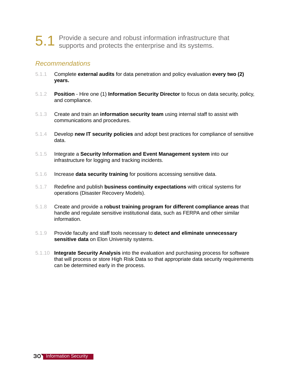## 5.1 Provide a secure and robust information infrastructure that supports and protects the enterprise and its systems.

- 5.1.1 Complete **external audits** for data penetration and policy evaluation **every two (2) years.**
- 5.1.2 **Position** Hire one (1) **Information Security Director** to focus on data security, policy, and compliance.
- 5.1.3 Create and train an **information security team** using internal staff to assist with communications and procedures.
- 5.1.4 Develop **new IT security policies** and adopt best practices for compliance of sensitive data.
- 5.1.5 Integrate a **Security Information and Event Management system** into our infrastructure for logging and tracking incidents.
- 5.1.6 Increase **data security training** for positions accessing sensitive data.
- 5.1.7 Redefine and publish **business continuity expectations** with critical systems for operations (Disaster Recovery Models).
- 5.1.8 Create and provide a **robust training program for different compliance areas** that handle and regulate sensitive institutional data, such as FERPA and other similar information.
- 5.1.9 Provide faculty and staff tools necessary to **detect and eliminate unnecessary sensitive data** on Elon University systems.
- 5.1.10 **Integrate Security Analysis** into the evaluation and purchasing process for software that will process or store High Risk Data so that appropriate data security requirements can be determined early in the process.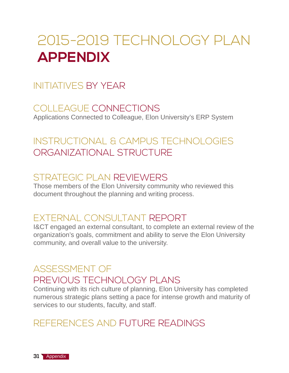## 2015-2019 TECHNOLOGY PLAN **APPENDIX**

### INITIATIVES BY YEAR

COLLEAGUE CONNECTIONS Applications Connected to Colleague, Elon University's ERP System

### INSTRUCTIONAL & CAMPUS TECHNOLOGIES ORGANIZATIONAL STRUCTURE

### STRATEGIC PLAN REVIEWERS

Those members of the Elon University community who reviewed this document throughout the planning and writing process.

### EXTERNAL CONSULTANT REPORT

I&CT engaged an external consultant, to complete an external review of the organization's goals, commitment and ability to serve the Elon University community, and overall value to the university.

### ASSESSMENT OF PREVIOUS TECHNOLOGY PLANS

Continuing with its rich culture of planning, Elon University has completed numerous strategic plans setting a pace for intense growth and maturity of services to our students, faculty, and staff.

### REFERENCES AND FUTURE READINGS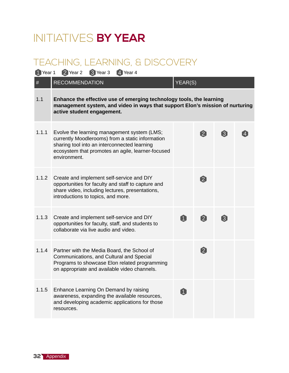## INITIATIVES **BY YEAR**

### TEACHING, LEARNING, & DISCOVERY

| 1 Year 1 | <sup>3</sup> Year 3<br>2 Year 2<br>4 Year 4                                                                                                                                                                          |         |                            |                  |  |
|----------|----------------------------------------------------------------------------------------------------------------------------------------------------------------------------------------------------------------------|---------|----------------------------|------------------|--|
| $\#$     | <b>RECOMMENDATION</b>                                                                                                                                                                                                | YEAR(S) |                            |                  |  |
| 1.1      | Enhance the effective use of emerging technology tools, the learning<br>management system, and video in ways that support Elon's mission of nurturing<br>active student engagement.                                  |         |                            |                  |  |
| 1.1.1    | Evolve the learning management system (LMS;<br>currently Moodlerooms) from a static information<br>sharing tool into an interconnected learning<br>ecosystem that promotes an agile, learner-focused<br>environment. |         | $\mathbf{2}$               | $\left[3\right]$ |  |
| 1.1.2    | Create and implement self-service and DIY<br>opportunities for faculty and staff to capture and<br>share video, including lectures, presentations,<br>introductions to topics, and more.                             |         | $\boldsymbol{\mathcal{Q}}$ |                  |  |
| 1.1.3    | Create and implement self-service and DIY<br>opportunities for faculty, staff, and students to<br>collaborate via live audio and video.                                                                              | A       | $\boldsymbol{2}$           | $\left[3\right]$ |  |
| 1.1.4    | Partner with the Media Board, the School of<br>Communications, and Cultural and Special<br>Programs to showcase Elon related programming<br>on appropriate and available video channels.                             |         | $\boldsymbol{2}$           |                  |  |
| 1.1.5    | Enhance Learning On Demand by raising<br>awareness, expanding the available resources,<br>and developing academic applications for those<br>resources.                                                               |         |                            |                  |  |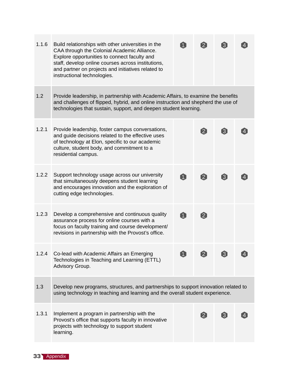| 1.1.6 | Build relationships with other universities in the<br>CAA through the Colonial Academic Alliance.<br>Explore opportunities to connect faculty and<br>staff, develop online courses across institutions,<br>and partner on projects and initiatives related to<br>instructional technologies. |   | $\overline{2}$    | $\boxed{3}$         |  |
|-------|----------------------------------------------------------------------------------------------------------------------------------------------------------------------------------------------------------------------------------------------------------------------------------------------|---|-------------------|---------------------|--|
| 1.2   | Provide leadership, in partnership with Academic Affairs, to examine the benefits<br>and challenges of flipped, hybrid, and online instruction and shepherd the use of<br>technologies that sustain, support, and deepen student learning.                                                   |   |                   |                     |  |
| 1.2.1 | Provide leadership, foster campus conversations,<br>and guide decisions related to the effective uses<br>of technology at Elon, specific to our academic<br>culture, student body, and commitment to a<br>residential campus.                                                                |   | $\boxed{2}$       | $\lbrack 3 \rbrack$ |  |
| 1.2.2 | Support technology usage across our university<br>that simultaneously deepens student learning<br>and encourages innovation and the exploration of<br>cutting edge technologies.                                                                                                             | A | $\boxed{2}$       | $\boxed{3}$         |  |
| 1.2.3 | Develop a comprehensive and continuous quality<br>assurance process for online courses with a<br>focus on faculty training and course development/<br>revisions in partnership with the Provost's office.                                                                                    | A | $\boxed{2}$       |                     |  |
| 1.2.4 | Co-lead with Academic Affairs an Emerging<br>Technologies in Teaching and Learning (ETTL)<br>Advisory Group.                                                                                                                                                                                 |   |                   |                     |  |
| 1.3   | Develop new programs, structures, and partnerships to support innovation related to<br>using technology in teaching and learning and the overall student experience.                                                                                                                         |   |                   |                     |  |
| 1.3.1 | Implement a program in partnership with the<br>Provost's office that supports faculty in innovative<br>projects with technology to support student<br>learning.                                                                                                                              |   | $\lceil 2 \rceil$ | $\lceil 3 \rceil$   |  |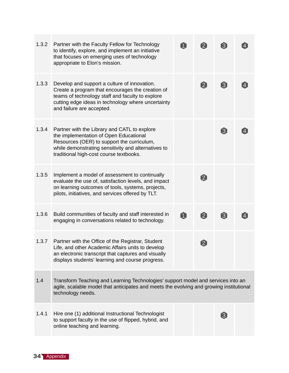| 1.3.2 | Partner with the Faculty Fellow for Technology<br>to identify, explore, and implement an initiative<br>that focuses on emerging uses of technology<br>appropriate to Elon's mission.                                                    |   | $\mathbf{2}$     | $[3]$            |  |  |  |
|-------|-----------------------------------------------------------------------------------------------------------------------------------------------------------------------------------------------------------------------------------------|---|------------------|------------------|--|--|--|
| 1.3.3 | Develop and support a culture of innovation.<br>Create a program that encourages the creation of<br>teams of technology staff and faculty to explore<br>cutting edge ideas in technology where uncertainty<br>and failure are accepted. |   | $\boldsymbol{2}$ | $\boldsymbol{3}$ |  |  |  |
| 1.3.4 | Partner with the Library and CATL to explore<br>the implementation of Open Educational<br>Resources (OER) to support the curriculum,<br>while demonstrating sensitivity and alternatives to<br>traditional high-cost course textbooks.  |   |                  | $\left[3\right]$ |  |  |  |
| 1.3.5 | Implement a model of assessment to continually<br>evaluate the use of, satisfaction levels, and impact<br>on learning outcomes of tools, systems, projects,<br>pilots, initiatives, and services offered by TLT.                        |   | $\boldsymbol{2}$ |                  |  |  |  |
| 1.3.6 | Build communities of faculty and staff interested in<br>engaging in conversations related to technology.                                                                                                                                | Û | $\boldsymbol{2}$ | 3                |  |  |  |
| 1.3.7 | Partner with the Office of the Registrar, Student<br>Life, and other Academic Affairs units to develop<br>an electronic transcript that captures and visually<br>displays students' learning and course progress.                       |   | $\boldsymbol{2}$ |                  |  |  |  |
| 1.4   | Transform Teaching and Learning Technologies' support model and services into an<br>agile, scalable model that anticipates and meets the evolving and growing institutional<br>technology needs.                                        |   |                  |                  |  |  |  |
| 1.4.1 | Hire one (1) additional Instructional Technologist<br>to support faculty in the use of flipped, hybrid, and<br>online teaching and learning.                                                                                            |   |                  | $\left[3\right]$ |  |  |  |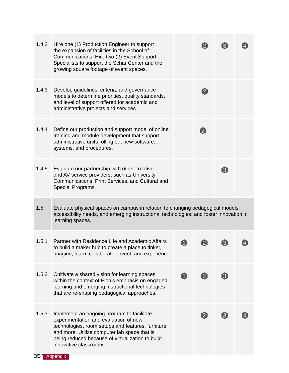| 1.4.2 | Hire one (1) Production Engineer to support<br>the expansion of facilities in the School of<br>Communications. Hire two (2) Event Support<br>Specialists to support the Schar Center and the<br>growing square footage of event spaces.                                 |                  | $\left[ 2\right]$ | $\boxed{3}$       |  |
|-------|-------------------------------------------------------------------------------------------------------------------------------------------------------------------------------------------------------------------------------------------------------------------------|------------------|-------------------|-------------------|--|
| 1.4.3 | Develop guidelines, criteria, and governance<br>models to determine priorities, quality standards,<br>and level of support offered for academic and<br>administrative projects and services.                                                                            |                  | $\boldsymbol{2}$  |                   |  |
| 1.4.4 | Define our production and support model of online<br>training and module development that support<br>administrative units rolling out new software,<br>systems, and procedures.                                                                                         |                  | $\boldsymbol{2}$  |                   |  |
| 1.4.5 | Evaluate our partnership with other creative<br>and AV service providers, such as University<br>Communications, Print Services, and Cultural and<br>Special Programs.                                                                                                   |                  |                   | 3                 |  |
| 1.5   | Evaluate physical spaces on campus in relation to changing pedagogical models,<br>accessibility needs, and emerging instructional technologies, and foster innovation in<br>learning spaces.                                                                            |                  |                   |                   |  |
| 1.5.1 | Partner with Residence Life and Academic Affairs<br>to build a maker hub to create a place to tinker,<br>imagine, learn, collaborate, invent, and experience.                                                                                                           | $\left[1\right]$ | $\left[ 2\right]$ | $\boxed{3}$       |  |
| 1.5.2 | Cultivate a shared vision for learning spaces<br>within the context of Elon's emphasis on engaged<br>learning and emerging instructional technologies<br>that are re-shaping pedagogical approaches.                                                                    | $\boxed{1}$      | $\left[ 2\right]$ | $\boxed{3}$       |  |
| 1.5.3 | Implement an ongoing program to facilitate<br>experimentation and evaluation of new<br>technologies, room setups and features, furniture,<br>and more. Utilize computer lab space that is<br>being reduced because of virtualization to build<br>innovative classrooms. |                  | $\left[ 2\right]$ | $\lceil 3 \rceil$ |  |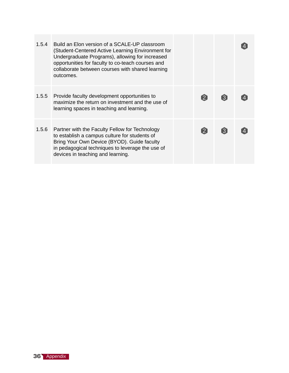| 1.5.4 | Build an Elon version of a SCALE-UP classroom<br>(Student-Centered Active Learning Environment for<br>Undergraduate Programs), allowing for increased<br>opportunities for faculty to co-teach courses and<br>collaborate between courses with shared learning<br>outcomes. |             |                   |  |
|-------|-----------------------------------------------------------------------------------------------------------------------------------------------------------------------------------------------------------------------------------------------------------------------------|-------------|-------------------|--|
| 1.5.5 | Provide faculty development opportunities to<br>maximize the return on investment and the use of<br>learning spaces in teaching and learning.                                                                                                                               | $\boxed{2}$ | $\boxed{3}$       |  |
| 1.5.6 | Partner with the Faculty Fellow for Technology<br>to establish a campus culture for students of<br>Bring Your Own Device (BYOD). Guide faculty<br>in pedagogical techniques to leverage the use of<br>devices in teaching and learning.                                     | $\boxed{2}$ | $\lceil 3 \rceil$ |  |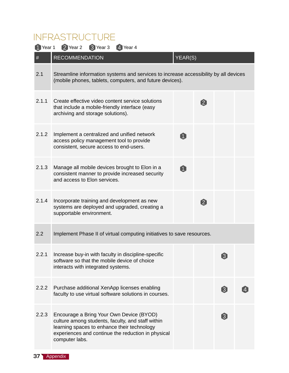### INFRASTRUCTURE

| <sup>1</sup> Year 1 | 2 Year 2<br>3 Year 3<br>4 Year 4                                                                                                                                                                                     |                |                  |                   |  |  |  |  |
|---------------------|----------------------------------------------------------------------------------------------------------------------------------------------------------------------------------------------------------------------|----------------|------------------|-------------------|--|--|--|--|
| $\#$                | <b>RECOMMENDATION</b>                                                                                                                                                                                                | YEAR(S)        |                  |                   |  |  |  |  |
| 2.1                 | Streamline information systems and services to increase accessibility by all devices<br>(mobile phones, tablets, computers, and future devices).                                                                     |                |                  |                   |  |  |  |  |
| 2.1.1               | Create effective video content service solutions<br>that include a mobile-friendly interface (easy<br>archiving and storage solutions).                                                                              |                | $\mathbf{[2]}$   |                   |  |  |  |  |
| 2.1.2               | Implement a centralized and unified network<br>access policy management tool to provide<br>consistent, secure access to end-users.                                                                                   | $\blacksquare$ |                  |                   |  |  |  |  |
| 2.1.3               | Manage all mobile devices brought to Elon in a<br>consistent manner to provide increased security<br>and access to Elon services.                                                                                    | 0              |                  |                   |  |  |  |  |
| 2.1.4               | Incorporate training and development as new<br>systems are deployed and upgraded, creating a<br>supportable environment.                                                                                             |                | $\boldsymbol{2}$ |                   |  |  |  |  |
| 2.2                 | Implement Phase II of virtual computing initiatives to save resources.                                                                                                                                               |                |                  |                   |  |  |  |  |
|                     | 2.2.1 Increase buy-in with faculty in discipline-specific<br>software so that the mobile device of choice<br>interacts with integrated systems.                                                                      |                |                  | 0                 |  |  |  |  |
| 2.2.2               | Purchase additional XenApp licenses enabling<br>faculty to use virtual software solutions in courses.                                                                                                                |                |                  | $\left( 3\right)$ |  |  |  |  |
| 2.2.3               | Encourage a Bring Your Own Device (BYOD)<br>culture among students, faculty, and staff within<br>learning spaces to enhance their technology<br>experiences and continue the reduction in physical<br>computer labs. |                |                  | $\boxed{3}$       |  |  |  |  |

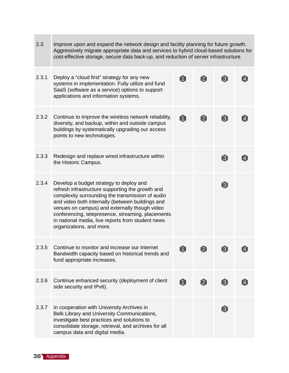| 2.3   | Improve upon and expand the network design and facility planning for future growth.<br>Aggressively migrate appropriate data and services to hybrid cloud-based solutions for<br>cost-effective storage, secure data back-up, and reduction of server infrastructure.                                                                                                                      |                |                    |                   |  |  |  |
|-------|--------------------------------------------------------------------------------------------------------------------------------------------------------------------------------------------------------------------------------------------------------------------------------------------------------------------------------------------------------------------------------------------|----------------|--------------------|-------------------|--|--|--|
| 2.3.1 | Deploy a "cloud first" strategy for any new<br>systems in implementation. Fully utilize and fund<br>SaaS (software as a service) options to support<br>applications and information systems.                                                                                                                                                                                               |                | $\boldsymbol{[2]}$ | $\left[3\right]$  |  |  |  |
| 2.3.2 | Continue to improve the wireless network reliability,<br>diversity, and backup, within and outside campus<br>buildings by systematically upgrading our access<br>points to new technologies.                                                                                                                                                                                               | û              | $\boxed{2}$        | $\boxed{3}$       |  |  |  |
| 2.3.3 | Redesign and replace wired infrastructure within<br>the Historic Campus.                                                                                                                                                                                                                                                                                                                   |                |                    | $\lceil 3 \rceil$ |  |  |  |
| 2.3.4 | Develop a budget strategy to deploy and<br>refresh infrastructure supporting the growth and<br>complexity surrounding the transmission of audio<br>and video both internally (between buildings and<br>venues on campus) and externally though video<br>conferencing, telepresence, streaming, placements<br>in national media, live reports from student news<br>organizations, and more. |                |                    | $\left[3\right]$  |  |  |  |
| 2.3.5 | Continue to monitor and increase our Internet<br>Bandwidth capacity based on historical trends and<br>fund appropriate increases.                                                                                                                                                                                                                                                          | $\mathbf{1}$   | $\left[2\right]$   | $\lceil 3 \rceil$ |  |  |  |
| 2.3.6 | Continue enhanced security (deployment of client<br>side security and IPv6).                                                                                                                                                                                                                                                                                                               | $\blacksquare$ | $\boldsymbol{2}$   | $\boxed{3}$       |  |  |  |
| 2.3.7 | In cooperation with University Archives in<br>Belk Library and University Communications,<br>investigate best practices and solutions to<br>consolidate storage, retrieval, and archives for all<br>campus data and digital media.                                                                                                                                                         |                |                    | $\boxed{3}$       |  |  |  |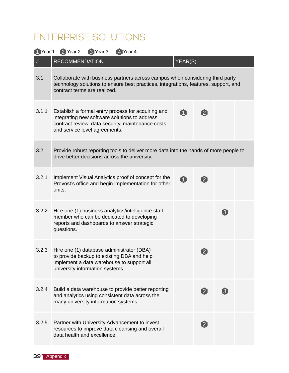### ENTERPRISE SOLUTIONS

| 1 Year 1 | 2 Year 2<br>3 Year 3<br>4 Year 4                                                                                                                                                                     |             |                        |                  |  |
|----------|------------------------------------------------------------------------------------------------------------------------------------------------------------------------------------------------------|-------------|------------------------|------------------|--|
| $\#$     | <b>RECOMMENDATION</b>                                                                                                                                                                                | YEAR(S)     |                        |                  |  |
| 3.1      | Collaborate with business partners across campus when considering third party<br>technology solutions to ensure best practices, integrations, features, support, and<br>contract terms are realized. |             |                        |                  |  |
| 3.1.1    | Establish a formal entry process for acquiring and<br>integrating new software solutions to address<br>contract review, data security, maintenance costs,<br>and service level agreements.           | 0           | $\boldsymbol{2}$       |                  |  |
| 3.2      | Provide robust reporting tools to deliver more data into the hands of more people to<br>drive better decisions across the university.                                                                |             |                        |                  |  |
| 3.2.1    | Implement Visual Analytics proof of concept for the<br>Provost's office and begin implementation for other<br>units.                                                                                 | $\mathbf 0$ | $\boxed{2}$            |                  |  |
| 3.2.2    | Hire one (1) business analytics/intelligence staff<br>member who can be dedicated to developing<br>reports and dashboards to answer strategic<br>questions.                                          |             |                        | $\boxed{3}$      |  |
| 3.2.3    | Hire one (1) database administrator (DBA)<br>to provide backup to existing DBA and help<br>implement a data warehouse to support all<br>university information systems.                              |             | $\left 2\right\rangle$ |                  |  |
| 3.2.4    | Build a data warehouse to provide better reporting<br>and analytics using consistent data across the<br>many university information systems.                                                         |             | $\boldsymbol{\Omega}$  | $\boldsymbol{3}$ |  |
| 3.2.5    | Partner with University Advancement to invest<br>resources to improve data cleansing and overall<br>data health and excellence.                                                                      |             | [2]                    |                  |  |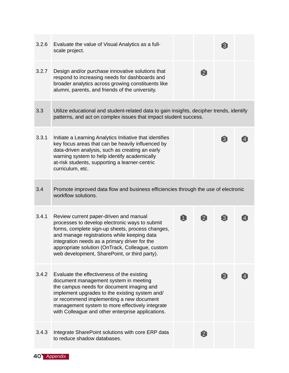| 3.2.6 | Evaluate the value of Visual Analytics as a full-<br>scale project.                                                                                                                                                                                                                                                                               |   |                  | [3]              |  |
|-------|---------------------------------------------------------------------------------------------------------------------------------------------------------------------------------------------------------------------------------------------------------------------------------------------------------------------------------------------------|---|------------------|------------------|--|
| 3.2.7 | Design and/or purchase innovative solutions that<br>respond to increasing needs for dashboards and<br>broader analytics across growing constituents like<br>alumni, parents, and friends of the university.                                                                                                                                       |   | $\boldsymbol{2}$ |                  |  |
| 3.3   | Utilize educational and student-related data to gain insights, decipher trends, identify<br>patterns, and act on complex issues that impact student success.                                                                                                                                                                                      |   |                  |                  |  |
| 3.3.1 | Initiate a Learning Analytics Initiative that identifies<br>key focus areas that can be heavily influenced by<br>data-driven analysis, such as creating an early<br>warning system to help identify academically<br>at-risk students, supporting a learner-centric<br>curriculum, etc.                                                            |   |                  | $\left[3\right]$ |  |
| 3.4   | Promote improved data flow and business efficiencies through the use of electronic<br>workflow solutions.                                                                                                                                                                                                                                         |   |                  |                  |  |
| 3.4.1 | Review current paper-driven and manual<br>processes to develop electronic ways to submit<br>forms, complete sign-up sheets, process changes,<br>and manage registrations while keeping data<br>integration needs as a primary driver for the<br>appropriate solution (OnTrack, Colleague, custom<br>web development, SharePoint, or third party). | A | $\boldsymbol{2}$ | $\boxed{3}$      |  |
| 3.4.2 | Evaluate the effectiveness of the existing<br>document management system in meeting<br>the campus needs for document imaging and<br>implement upgrades to the existing system and/<br>or recommend implementing a new document<br>management system to more effectively integrate<br>with Colleague and other enterprise applications.            |   |                  | $\left[3\right]$ |  |
| 3.4.3 | Integrate SharePoint solutions with core ERP data<br>to reduce shadow databases.                                                                                                                                                                                                                                                                  |   | $\boxed{2}$      |                  |  |

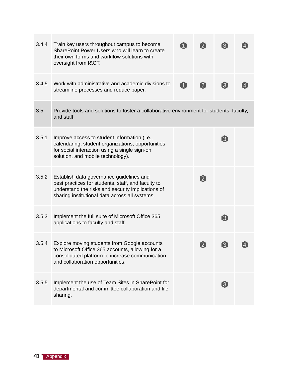| 3.4.4 | Train key users throughout campus to become<br>SharePoint Power Users who will learn to create<br>their own forms and workflow solutions with<br>oversight from I&CT.                                 | $\boxed{1}$ | [2]               | $\lceil 3 \rceil$                                                                                                                                                                                                  |  |
|-------|-------------------------------------------------------------------------------------------------------------------------------------------------------------------------------------------------------|-------------|-------------------|--------------------------------------------------------------------------------------------------------------------------------------------------------------------------------------------------------------------|--|
| 3.4.5 | Work with administrative and academic divisions to<br>streamline processes and reduce paper.                                                                                                          | Û           | $\boldsymbol{2}$  | 3                                                                                                                                                                                                                  |  |
| 3.5   | Provide tools and solutions to foster a collaborative environment for students, faculty,<br>and staff.                                                                                                |             |                   |                                                                                                                                                                                                                    |  |
| 3.5.1 | Improve access to student information (i.e.,<br>calendaring, student organizations, opportunities<br>for social interaction using a single sign-on<br>solution, and mobile technology).               |             |                   | $\boxed{3}$                                                                                                                                                                                                        |  |
| 3.5.2 | Establish data governance guidelines and<br>best practices for students, staff, and faculty to<br>understand the risks and security implications of<br>sharing institutional data across all systems. |             | $\mathbf{2}$      |                                                                                                                                                                                                                    |  |
| 3.5.3 | Implement the full suite of Microsoft Office 365<br>applications to faculty and staff.                                                                                                                |             |                   | $\boxed{3}$                                                                                                                                                                                                        |  |
| 3.5.4 | Explore moving students from Google accounts<br>to Microsoft Office 365 accounts, allowing for a<br>consolidated platform to increase communication<br>and collaboration opportunities.               |             | $\left[ 2\right]$ | $[3] % \includegraphics[width=0.9\columnwidth]{figures/2.png} \caption{The figure shows the number of parameters of the top of the right. The left is the number of different values of the right.} \label{fig:2}$ |  |
| 3.5.5 | Implement the use of Team Sites in SharePoint for<br>departmental and committee collaboration and file<br>sharing.                                                                                    |             |                   | $\boldsymbol{\Omega}$                                                                                                                                                                                              |  |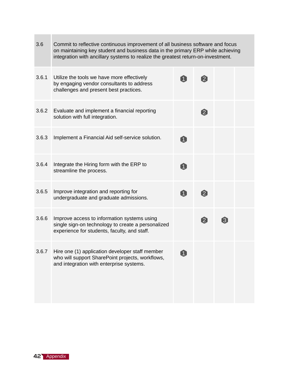| 3.6   | Commit to reflective continuous improvement of all business software and focus<br>on maintaining key student and business data in the primary ERP while achieving<br>integration with ancillary systems to realize the greatest return-on-investment. |                |                |       |  |  |  |
|-------|-------------------------------------------------------------------------------------------------------------------------------------------------------------------------------------------------------------------------------------------------------|----------------|----------------|-------|--|--|--|
| 3.6.1 | Utilize the tools we have more effectively<br>by engaging vendor consultants to address<br>challenges and present best practices.                                                                                                                     |                | $\mathbf{[2]}$ |       |  |  |  |
| 3.6.2 | Evaluate and implement a financial reporting<br>solution with full integration.                                                                                                                                                                       |                | [2]            |       |  |  |  |
| 3.6.3 | Implement a Financial Aid self-service solution.                                                                                                                                                                                                      |                |                |       |  |  |  |
| 3.6.4 | Integrate the Hiring form with the ERP to<br>streamline the process.                                                                                                                                                                                  | $\blacksquare$ |                |       |  |  |  |
| 3.6.5 | Improve integration and reporting for<br>undergraduate and graduate admissions.                                                                                                                                                                       | $\blacksquare$ | $\boxed{2}$    |       |  |  |  |
| 3.6.6 | Improve access to information systems using<br>single sign-on technology to create a personalized<br>experience for students, faculty, and staff.                                                                                                     |                | $\boxed{2}$    | $[3]$ |  |  |  |
| 3.6.7 | Hire one (1) application developer staff member<br>who will support SharePoint projects, workflows,<br>and integration with enterprise systems.                                                                                                       |                |                |       |  |  |  |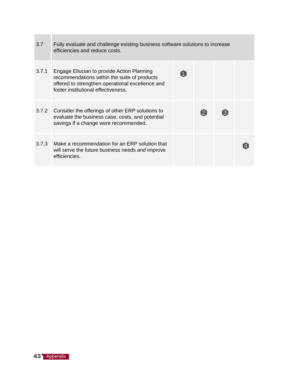| 3.7   | Fully evaluate and challenge existing business software solutions to increase<br>efficiencies and reduce costs.                                                                       |                    |             |  |
|-------|---------------------------------------------------------------------------------------------------------------------------------------------------------------------------------------|--------------------|-------------|--|
| 3.7.1 | Engage Ellucian to provide Action Planning<br>recommendations within the suite of products<br>offered to strengthen operational excellence and<br>foster institutional effectiveness. |                    |             |  |
|       | 3.7.2 Consider the offerings of other ERP solutions to<br>evaluate the business case, costs, and potential<br>savings if a change were recommended.                                   | $\left[ 2 \right]$ | $\boxed{3}$ |  |
| 3.7.3 | Make a recommendation for an ERP solution that<br>will serve the future business needs and improve<br>efficiencies.                                                                   |                    |             |  |



 $\sim$ 

**Contract**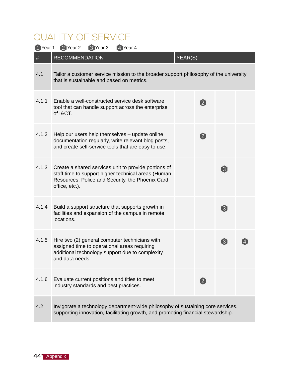### QUALITY OF SERVICE

| 1 Year 1 | 2 Year 2<br>3 Year 3<br>4 Year 4                                                                                                                                                  |         |                  |                  |  |
|----------|-----------------------------------------------------------------------------------------------------------------------------------------------------------------------------------|---------|------------------|------------------|--|
| #        | <b>RECOMMENDATION</b>                                                                                                                                                             | YEAR(S) |                  |                  |  |
| 4.1      | Tailor a customer service mission to the broader support philosophy of the university<br>that is sustainable and based on metrics.                                                |         |                  |                  |  |
| 4.1.1    | Enable a well-constructed service desk software<br>tool that can handle support across the enterprise<br>of I&CT.                                                                 |         | $\boldsymbol{2}$ |                  |  |
| 4.1.2    | Help our users help themselves - update online<br>documentation regularly, write relevant blog posts,<br>and create self-service tools that are easy to use.                      |         | $\boldsymbol{2}$ |                  |  |
| 4.1.3    | Create a shared services unit to provide portions of<br>staff time to support higher technical areas (Human<br>Resources, Police and Security, the Phoenix Card<br>office, etc.). |         |                  | $\left[3\right]$ |  |
| 4.1.4    | Build a support structure that supports growth in<br>facilities and expansion of the campus in remote<br>locations.                                                               |         |                  | 3                |  |
| 4.1.5    | Hire two (2) general computer technicians with<br>assigned time to operational areas requiring<br>additional technology support due to complexity<br>and data needs.              |         |                  | $\left[3\right]$ |  |
| 4.1.6    | Evaluate current positions and titles to meet<br>industry standards and best practices.                                                                                           |         | $\boxed{2}$      |                  |  |
| 4.2      | Invigorate a technology department-wide philosophy of sustaining core services,<br>supporting innovation, facilitating growth, and promoting financial stewardship.               |         |                  |                  |  |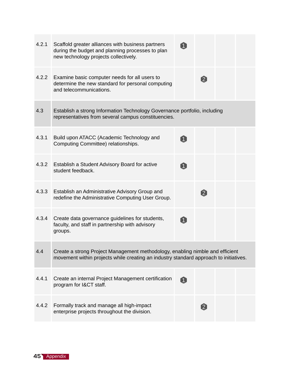| 4.2.1 | Scaffold greater alliances with business partners<br>during the budget and planning processes to plan<br>new technology projects collectively.                         |                   |  |
|-------|------------------------------------------------------------------------------------------------------------------------------------------------------------------------|-------------------|--|
| 4.2.2 | Examine basic computer needs for all users to<br>determine the new standard for personal computing<br>and telecommunications.                                          | $\boxed{2}$       |  |
| 4.3   | Establish a strong Information Technology Governance portfolio, including<br>representatives from several campus constituencies.                                       |                   |  |
| 4.3.1 | Build upon ATACC (Academic Technology and<br>Computing Committee) relationships.                                                                                       |                   |  |
| 4.3.2 | Establish a Student Advisory Board for active<br>student feedback.                                                                                                     |                   |  |
| 4.3.3 | Establish an Administrative Advisory Group and<br>redefine the Administrative Computing User Group.                                                                    | $\mathbf{2}$      |  |
| 4.3.4 | Create data governance guidelines for students,<br>faculty, and staff in partnership with advisory<br>groups.                                                          |                   |  |
| 4.4   | Create a strong Project Management methodology, enabling nimble and efficient<br>movement within projects while creating an industry standard approach to initiatives. |                   |  |
| 4.4.1 | Create an internal Project Management certification<br>program for I&CT staff.                                                                                         |                   |  |
| 4.4.2 | Formally track and manage all high-impact<br>enterprise projects throughout the division.                                                                              | $\left[ 2\right]$ |  |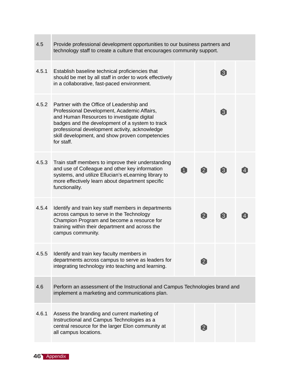| 4.5   | Provide professional development opportunities to our business partners and<br>technology staff to create a culture that encourages community support.                                                                                                                                                       |   |                   |                  |  |
|-------|--------------------------------------------------------------------------------------------------------------------------------------------------------------------------------------------------------------------------------------------------------------------------------------------------------------|---|-------------------|------------------|--|
| 4.5.1 | Establish baseline technical proficiencies that<br>should be met by all staff in order to work effectively<br>in a collaborative, fast-paced environment.                                                                                                                                                    |   |                   | [3]              |  |
| 4.5.2 | Partner with the Office of Leadership and<br>Professional Development, Academic Affairs,<br>and Human Resources to investigate digital<br>badges and the development of a system to track<br>professional development activity, acknowledge<br>skill development, and show proven competencies<br>for staff. |   |                   | $\boxed{3}$      |  |
| 4.5.3 | Train staff members to improve their understanding<br>and use of Colleague and other key information<br>systems, and utilize Ellucian's eLearning library to<br>more effectively learn about department specific<br>functionality.                                                                           | A | $\boxed{2}$       | $\left[3\right]$ |  |
| 4.5.4 | Identify and train key staff members in departments<br>across campus to serve in the Technology<br>Champion Program and become a resource for<br>training within their department and across the<br>campus community.                                                                                        |   | $\left[ 2\right]$ | $\boxed{3}$      |  |
| 4.5.5 | Identify and train key faculty members in<br>departments across campus to serve as leaders for<br>integrating technology into teaching and learning.                                                                                                                                                         |   | $\left[ 2\right]$ |                  |  |
| 4.6   | Perform an assessment of the Instructional and Campus Technologies brand and<br>implement a marketing and communications plan.                                                                                                                                                                               |   |                   |                  |  |
| 4.6.1 | Assess the branding and current marketing of<br>Instructional and Campus Technologies as a<br>central resource for the larger Elon community at<br>all campus locations.                                                                                                                                     |   | $\left[ 2\right]$ |                  |  |

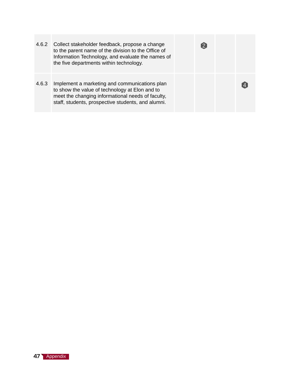| 4.6.2 | Collect stakeholder feedback, propose a change<br>to the parent name of the division to the Office of<br>Information Technology, and evaluate the names of<br>the five departments within technology.      |  |  |
|-------|------------------------------------------------------------------------------------------------------------------------------------------------------------------------------------------------------------|--|--|
| 4.6.3 | Implement a marketing and communications plan<br>to show the value of technology at Elon and to<br>meet the changing informational needs of faculty,<br>staff, students, prospective students, and alumni. |  |  |

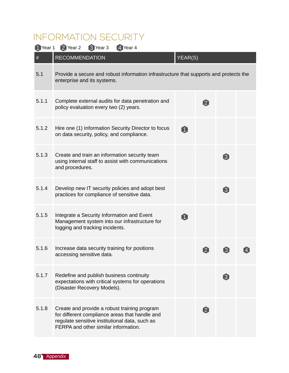### INFORMATION SECURITY

| 1 Year 1 | 2 Year 2<br>3 Year 3<br>4 Year 4                                                                                                                                                         |                |                   |                  |  |
|----------|------------------------------------------------------------------------------------------------------------------------------------------------------------------------------------------|----------------|-------------------|------------------|--|
| $\#$     | <b>RECOMMENDATION</b>                                                                                                                                                                    | YEAR(S)        |                   |                  |  |
| 5.1      | Provide a secure and robust information infrastructure that supports and protects the<br>enterprise and its systems.                                                                     |                |                   |                  |  |
| 5.1.1    | Complete external audits for data penetration and<br>policy evaluation every two (2) years.                                                                                              |                | $\boldsymbol{2}$  |                  |  |
| 5.1.2    | Hire one (1) Information Security Director to focus<br>on data security, policy, and compliance.                                                                                         | Û              |                   |                  |  |
| 5.1.3    | Create and train an information security team<br>using internal staff to assist with communications<br>and procedures.                                                                   |                |                   | $\boldsymbol{3}$ |  |
| 5.1.4    | Develop new IT security policies and adopt best<br>practices for compliance of sensitive data.                                                                                           |                |                   | $\bf{3}$         |  |
| 5.1.5    | Integrate a Security Information and Event<br>Management system into our infrastructure for<br>logging and tracking incidents.                                                           | $\blacksquare$ |                   |                  |  |
| 5.1.6    | Increase data security training for positions<br>accessing sensitive data.                                                                                                               |                | $\left[ 2\right]$ | $\boxed{3}$      |  |
| 5.1.7    | Redefine and publish business continuity<br>expectations with critical systems for operations<br>(Disaster Recovery Models).                                                             |                |                   | $\boxed{3}$      |  |
| 5.1.8    | Create and provide a robust training program<br>for different compliance areas that handle and<br>regulate sensitive institutional data, such as<br>FERPA and other similar information. |                | $\boxed{2}$       |                  |  |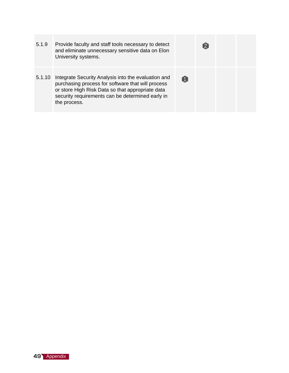5.1.9 Provide faculty and staff tools necessary to detect  $\bullet$ and eliminate unnecessary sensitive data on Elon University systems. 5.1.10 Integrate Security Analysis into the evaluation and  $\bullet$ purchasing process for software that will process or store High Risk Data so that appropriate data security requirements can be determined early in the process.

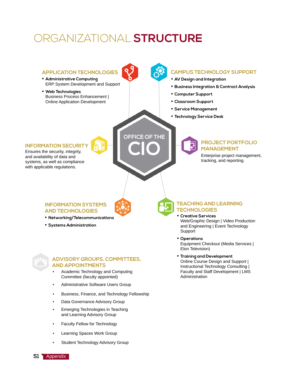### ORGANIZATIONAL **STRUCTURE**



**51** Appendix

**•** Learning Spaces Work Group

**•** Student Technology Advisory Group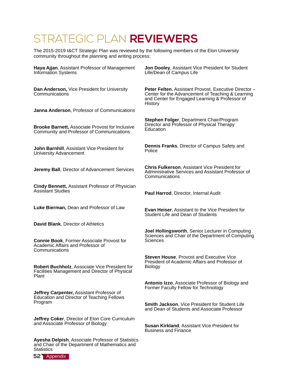### STRATEGIC PLAN **REVIEWERS**

The 2015-2019 I&CT Strategic Plan was reviewed by the following members of the Elon University community throughout the planning and writing process:

| Haya Ajjan, Assistant Professor of Management<br><b>Information Systems</b>                              | Jon Dooley, Assistant Vice President for Student<br>Life/Dean of Campus Life                                                                                            |
|----------------------------------------------------------------------------------------------------------|-------------------------------------------------------------------------------------------------------------------------------------------------------------------------|
| Dan Anderson, Vice President for University<br>Communications                                            | Peter Felten, Assistant Provost, Executive Director -<br>Center for the Advancement of Teaching & Learning<br>and Center for Engaged Learning & Professor of<br>History |
| Janna Anderson, Professor of Communications                                                              |                                                                                                                                                                         |
| <b>Brooke Barnett, Associate Provost for Inclusive</b><br>Community and Professor of Communications      | Stephen Folger, Department Chair/Program<br>Director and Professor of Physical Therapy<br>Education                                                                     |
| John Barnhill, Assistant Vice President for<br>University Advancement                                    | <b>Dennis Franks, Director of Campus Safety and</b><br>Police                                                                                                           |
| Jeremy Ball, Director of Advancement Services                                                            | <b>Chris Fulkerson, Assistant Vice President for</b><br>Administrative Services and Assistant Professor of<br>Communications                                            |
| Cindy Bennett, Assistant Professor of Physician<br><b>Assistant Studies</b>                              | Paul Harrod, Director, Internal Audit                                                                                                                                   |
| Luke Bierman, Dean and Professor of Law                                                                  | <b>Evan Heiser, Assistant to the Vice President for</b><br>Student Life and Dean of Students                                                                            |
| David Blank, Director of Athletics                                                                       |                                                                                                                                                                         |
| <b>Connie Book, Former Associate Provost for</b><br>Academic Affairs and Professor of<br>Communications  | Joel Hollingsworth, Senior Lecturer in Computing<br>Sciences and Chair of the Department of Computing<br><b>Sciences</b>                                                |
| Robert Buchholz, Associate Vice President for<br>Facilities Management and Director of Physical<br>Plant | Steven House, Provost and Executive Vice<br>President of Academic Affairs and Professor of<br><b>Biology</b>                                                            |
| Jeffrey Carpenter, Assistant Professor of<br><b>Education and Director of Teaching Fellows</b>           | Antonio Izzo, Associate Professor of Biology and<br>Former Faculty Fellow for Technology                                                                                |
| Program                                                                                                  | Smith Jackson, Vice President for Student Life<br>and Dean of Students and Associate Professor                                                                          |
| Jeffrey Coker, Director of Elon Core Curriculum<br>and Associate Professor of Biology                    | Susan Kirkland, Assistant Vice President for<br><b>Business and Finance</b>                                                                                             |
| <b>Ayesha Delpish, Associate Professor of Statistics</b>                                                 |                                                                                                                                                                         |



**Statistics** 

and Chair of the Department of Mathematics and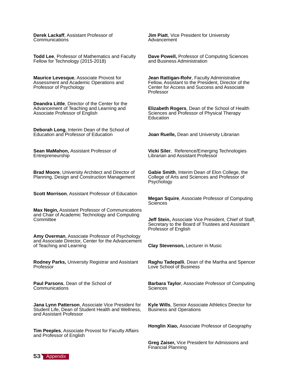**Derek Lackaff**, Assistant Professor of Communications

**Todd Lee**, Professor of Mathematics and Faculty Fellow for Technology (2015-2018)

**Maurice Levesque**, Associate Provost for Assessment and Academic Operations and Professor of Psychology

**Deandra Little**, Director of the Center for the Advancement of Teaching and Learning and Associate Professor of English

**Deborah Long**, Interim Dean of the School of Education and Professor of Education

**Sean MaMahon,** Assistant Professor of Entrepreneurship

**Brad Moore**, University Architect and Director of Planning, Design and Construction Management

**Scott Morrison**, Assistant Professor of Education

**Max Negin,** Assistant Professor of Communications and Chair of Academic Technology and Computing **Committee** 

**Amy Overman**, Associate Professor of Psychology and Associate Director, Center for the Advancement of Teaching and Learning

**Rodney Parks,** University Registrar and Assistant Professor

**Paul Parsons**, Dean of the School of Communications

**Jana Lynn Patterson**, Associate Vice President for Student Life, Dean of Student Health and Wellness, and Assistant Professor

**Tim Peeples**, Associate Provost for Faculty Affairs and Professor of English

**Jim Piatt**, Vice President for University Advancement

**Dave Powell,** Professor of Computing Sciences and Business Administration

**Jean Rattigan-Rohr**, Faculty Administrative Fellow, Assistant to the President, Director of the Center for Access and Success and Associate Professor

**Elizabeth Rogers**, Dean of the School of Health Sciences and Professor of Physical Therapy **Education** 

**Joan Ruelle,** Dean and University Librarian

**Vicki Siler**, Reference/Emerging Technologies Librarian and Assistant Professor

**Gabie Smith**, Interim Dean of Elon College, the College of Arts and Sciences and Professor of Psychology

**Megan Squire**, Associate Professor of Computing **Sciences** 

**Jeff Stein,** Associate Vice President, Chief of Staff, Secretary to the Board of Trustees and Assistant Professor of English

**Clay Stevenson,** Lecturer in Music

**Raghu Tadepalli**, Dean of the Martha and Spencer Love School of Business

**Barbara Taylor**, Associate Professor of Computing **Sciences** 

**Kyle Wills**, Senior Associate Athletics Director for Business and Operations

**Honglin Xiao,** Associate Professor of Geography

**Greg Zaiser,** Vice President for Admissions and Financial Planning

**53** Appendix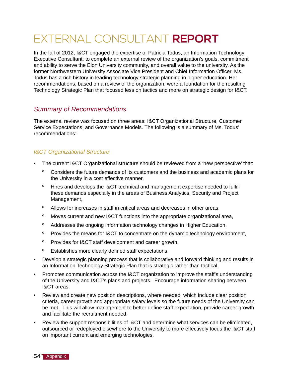## EXTERNAL CONSULTANT **REPORT**

In the fall of 2012, I&CT engaged the expertise of Patricia Todus, an Information Technology Executive Consultant, to complete an external review of the organization's goals, commitment and ability to serve the Elon University community, and overall value to the university. As the former Northwestern University Associate Vice President and Chief Information Officer, Ms. Todus has a rich history in leading technology strategic planning in higher education. Her recommendations, based on a review of the organization, were a foundation for the resulting Technology Strategic Plan that focused less on tactics and more on strategic design for I&CT.

### *Summary of Recommendations*

The external review was focused on three areas: I&CT Organizational Structure, Customer Service Expectations, and Governance Models. The following is a summary of Ms. Todus' recommendations:

### *I&CT Organizational Structure*

- The current I&CT Organizational structure should be reviewed from a 'new perspective' that:
	- º Considers the future demands of its customers and the business and academic plans for the University in a cost effective manner,
	- º Hires and develops the I&CT technical and management expertise needed to fulfill these demands especially in the areas of Business Analytics, Security and Project Management,
	- º Allows for increases in staff in critical areas and decreases in other areas,
	- º Moves current and new I&CT functions into the appropriate organizational area,
	- º Addresses the ongoing information technology changes in Higher Education,
	- º Provides the means for I&CT to concentrate on the dynamic technology environment,
	- º Provides for I&CT staff development and career growth,
	- º Establishes more clearly defined staff expectations.
- Develop a strategic planning process that is collaborative and forward thinking and results in an Information Technology Strategic Plan that is strategic rather than tactical.
- Promotes communication across the I&CT organization to improve the staff's understanding of the University and I&CT's plans and projects. Encourage information sharing between I&CT areas.
- Review and create new position descriptions, where needed, which include clear position criteria, career growth and appropriate salary levels so the future needs of the University can be met. This will allow management to better define staff expectation, provide career growth and facilitate the recruitment needed.
- Review the support responsibilities of I&CT and determine what services can be eliminated, outsourced or redeployed elsewhere to the University to more effectively focus the I&CT staff on important current and emerging technologies.

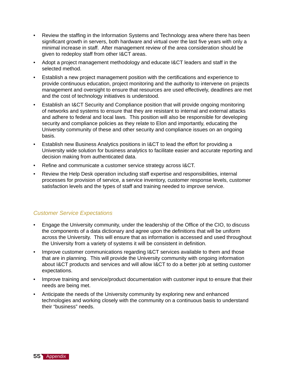- Review the staffing in the Information Systems and Technology area where there has been significant growth in servers, both hardware and virtual over the last five years with only a minimal increase in staff. After management review of the area consideration should be given to redeploy staff from other I&CT areas.
- Adopt a project management methodology and educate I&CT leaders and staff in the selected method.
- Establish a new project management position with the certifications and experience to provide continuous education, project monitoring and the authority to intervene on projects management and oversight to ensure that resources are used effectively, deadlines are met and the cost of technology initiatives is understood.
- Establish an I&CT Security and Compliance position that will provide ongoing monitoring of networks and systems to ensure that they are resistant to internal and external attacks and adhere to federal and local laws. This position will also be responsible for developing security and compliance policies as they relate to Elon and importantly, educating the University community of these and other security and compliance issues on an ongoing basis.
- Establish new Business Analytics positions in I&CT to lead the effort for providing a University wide solution for business analytics to facilitate easier and accurate reporting and decision making from authenticated data.
- Refine and communicate a customer service strategy across I&CT.
- Review the Help Desk operation including staff expertise and responsibilities, internal processes for provision of service, a service inventory, customer response levels, customer satisfaction levels and the types of staff and training needed to improve service.

#### *Customer Service Expectations*

- Engage the University community, under the leadership of the Office of the CIO, to discuss the components of a data dictionary and agree upon the definitions that will be uniform across the University. This will ensure that as information is accessed and used throughout the University from a variety of systems it will be consistent in definition.
- Improve customer communications regarding I&CT services available to them and those that are in planning. This will provide the University community with ongoing information about I&CT products and services and will allow I&CT to do a better job at setting customer expectations.
- Improve training and service/product documentation with customer input to ensure that their needs are being met.
- Anticipate the needs of the University community by exploring new and enhanced technologies and working closely with the community on a continuous basis to understand their "business" needs.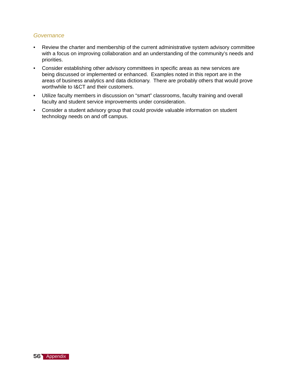#### *Governance*

- Review the charter and membership of the current administrative system advisory committee with a focus on improving collaboration and an understanding of the community's needs and priorities.
- Consider establishing other advisory committees in specific areas as new services are being discussed or implemented or enhanced. Examples noted in this report are in the areas of business analytics and data dictionary. There are probably others that would prove worthwhile to I&CT and their customers.
- Utilize faculty members in discussion on "smart" classrooms, faculty training and overall faculty and student service improvements under consideration.
- Consider a student advisory group that could provide valuable information on student technology needs on and off campus.

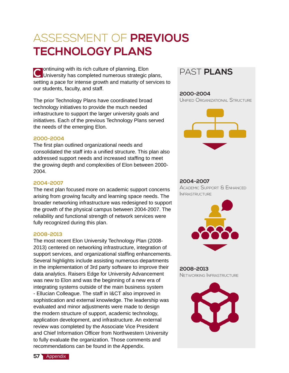## ASSESSMENT OF **PREVIOUS TECHNOLOGY PLANS**

 $\blacktriangleright$  ontinuing with its rich culture of planning, Elon C University has completed numerous strategic plans, PAST **PLANS** setting a pace for intense growth and maturity of services to our students, faculty, and staff.

The prior Technology Plans have coordinated broad technology initiatives to provide the much needed infrastructure to support the larger university goals and initiatives. Each of the previous Technology Plans served the needs of the emerging Elon.

#### **2000-2004**

The first plan outlined organizational needs and consolidated the staff into a unified structure. This plan also addressed support needs and increased staffing to meet the growing depth and complexities of Elon between 2000- 2004.

#### **2004-2007**

The next plan focused more on academic support concerns arising from growing faculty and learning space needs. The broader networking infrastructure was redesigned to support the growth of the physical campus between 2004-2007. The reliability and functional strength of network services were fully recognized during this plan.

#### **2008-2013**

The most recent Elon University Technology Plan (2008- 2013) centered on networking infrastructure, integration of support services, and organizational staffing enhancements. Several highlights include assisting numerous departments in the implementation of 3rd party software to improve their data analytics. Raisers Edge for University Advancement was new to Elon and was the beginning of a new era of integrating systems outside of the main business system - Ellucian Colleague. The staff in I&CT also improved in sophistication and external knowledge. The leadership was evaluated and minor adjustments were made to design the modern structure of support, academic technology, application development, and infrastructure. An external review was completed by the Associate Vice President and Chief Information Officer from Northwestern University to fully evaluate the organization. Those comments and recommendations can be found in the Appendix.



#### **2000-2004**

Unified Organizational Structure



#### **2004-2007**

Academic Support & Enhanced **INFRASTRUCTURE** 



### **2008-2013**

Networking Infrastructure

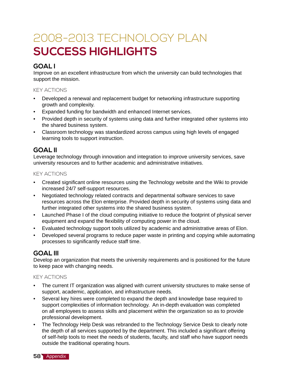## 2008-2013 TECHNOLOGY PLAN **SUCCESS HIGHLIGHTS**

### **GOAL I**

Improve on an excellent infrastructure from which the university can build technologies that support the mission.

#### KEY ACTIONS

- Developed a renewal and replacement budget for networking infrastructure supporting growth and complexity.
- Expanded funding for bandwidth and enhanced Internet services.
- Provided depth in security of systems using data and further integrated other systems into the shared business system.
- Classroom technology was standardized across campus using high levels of engaged learning tools to support instruction.

### **GOAL II**

Leverage technology through innovation and integration to improve university services, save university resources and to further academic and administrative initiatives.

#### KEY ACTIONS

- Created significant online resources using the Technology website and the Wiki to provide increased 24/7 self-support resources.
- Negotiated technology related contracts and departmental software services to save resources across the Elon enterprise. Provided depth in security of systems using data and further integrated other systems into the shared business system.
- Launched Phase I of the cloud computing initiative to reduce the footprint of physical server equipment and expand the flexibility of computing power in the cloud.
- Evaluated technology support tools utilized by academic and administrative areas of Elon.
- Developed several programs to reduce paper waste in printing and copying while automating processes to significantly reduce staff time.

### **GOAL III**

Develop an organization that meets the university requirements and is positioned for the future to keep pace with changing needs.

### KEY ACTIONS

- The current IT organization was aligned with current university structures to make sense of support, academic, application, and infrastructure needs.
- Several key hires were completed to expand the depth and knowledge base required to support complexities of information technology. An in-depth evaluation was completed on all employees to assess skills and placement within the organization so as to provide professional development.
- The Technology Help Desk was rebranded to the Technology Service Desk to clearly note the depth of all services supported by the department. This included a significant offering of self-help tools to meet the needs of students, faculty, and staff who have support needs outside the traditional operating hours.